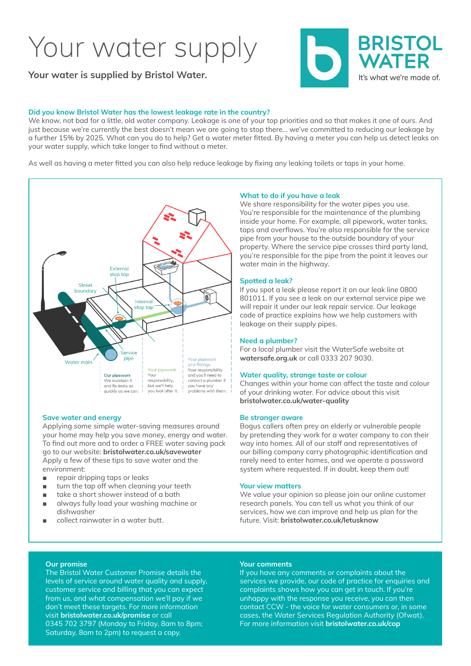## Your water supply

**Your water is supplied by Bristol Water.**

#### **Did you know Bristol Water has the lowest leakage rate in the country?**

We know, not bad for a little, old water company. Leakage is one of your top priorities and so that makes it one of ours. And just because we're currently the best doesn't mean we are going to stop there… we've committed to reducing our leakage by a further 15% by 2025. What can you do to help? Get a water meter fitted. By having a meter you can help us detect leaks on your water supply, which take longer to find without a meter.

As well as having a meter fitted you can also help reduce leakage by fixing any leaking toilets or taps in your home.



#### **Save water and energy**

Applying some simple water-saving measures around your home may help you save money, energy and water. To find out more and to order a FREE water saving pack go to our website: **bristolwater.co.uk/savewater** Apply a few of these tips to save water and the environment:

- repair dripping taps or leaks
- turn the tap off when cleaning your teeth
- take a short shower instead of a bath
- always fully load your washing machine or dishwasher
- collect rainwater in a water butt.

#### **What to do if you have a leak**

We share responsibility for the water pipes you use. You're responsible for the maintenance of the plumbing inside your home. For example, all pipework, water tanks, taps and overflows. You're also responsible for the service pipe from your house to the outside boundary of your property. Where the service pipe crosses third party land, you're responsible for the pipe from the point it leaves our water main in the highway.

#### **Spotted a leak?**

If you spot a leak please report it on our leak line 0800 801011. If you see a leak on our external service pipe we will repair it under our leak repair service. Our leakage code of practice explains how we help customers with leakage on their supply pipes.

#### **Need a plumber?**

For a local plumber visit the WaterSafe website at **watersafe.org.uk** or call 0333 207 9030.

#### **Water quality, strange taste or colour**

Changes within your home can affect the taste and colour of your drinking water. For advice about this visit **bristolwater.co.uk/water-quality**

#### **Be stranger aware**

Bogus callers often prey on elderly or vulnerable people by pretending they work for a water company to con their way into homes. All of our staff and representatives of our billing company carry photographic identification and rarely need to enter homes, and we operate a password system where requested. If in doubt, keep them out!

#### **Your view matters**

We value your opinion so please join our online customer research panels. You can tell us what you think of our services, how we can improve and help us plan for the future. Visit: **bristolwater.co.uk/letusknow**

#### **Our promise**

The Bristol Water Customer Promise details the levels of service around water quality and supply, customer service and billing that you can expect from us, and what compensation we'll pay if we don't meet these targets. For more information visit **bristolwater.co.uk/promise** or call 0345 702 3797 (Monday to Friday, 8am to 8pm; Saturday, 8am to 2pm) to request a copy.

#### **Your comments**

If you have any comments or complaints about the services we provide, our code of practice for enquiries and complaints shows how you can get in touch. If you're unhappy with the response you receive, you can then contact CCW - the voice for water consumers or, in some cases, the Water Services Regulation Authority (Ofwat). For more information visit **bristolwater.co.uk/cop**